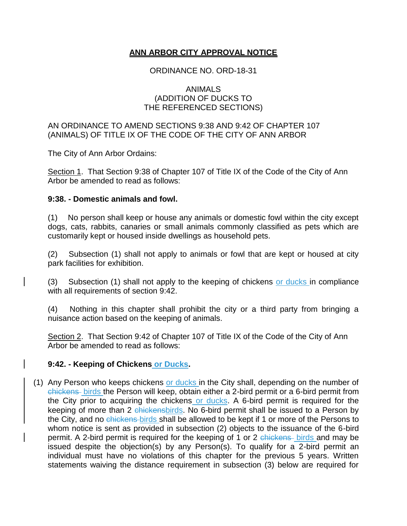## **ANN ARBOR CITY APPROVAL NOTICE**

### ORDINANCE NO. ORD-18-31

#### ANIMALS (ADDITION OF DUCKS TO THE REFERENCED SECTIONS)

#### AN ORDINANCE TO AMEND SECTIONS 9:38 AND 9:42 OF CHAPTER 107 (ANIMALS) OF TITLE IX OF THE CODE OF THE CITY OF ANN ARBOR

The City of Ann Arbor Ordains:

Section 1. That Section 9:38 of Chapter 107 of Title IX of the Code of the City of Ann Arbor be amended to read as follows:

#### **9:38. - Domestic animals and fowl.**

(1) No person shall keep or house any animals or domestic fowl within the city except dogs, cats, rabbits, canaries or small animals commonly classified as pets which are customarily kept or housed inside dwellings as household pets.

(2) Subsection (1) shall not apply to animals or fowl that are kept or housed at city park facilities for exhibition.

(3) Subsection (1) shall not apply to the keeping of chickens or ducks in compliance with all requirements of section 9:42.

(4) Nothing in this chapter shall prohibit the city or a third party from bringing a nuisance action based on the keeping of animals.

Section 2. That Section 9:42 of Chapter 107 of Title IX of the Code of the City of Ann Arbor be amended to read as follows:

## **9:42. - Keeping of Chickens or Ducks.**

(1) Any Person who keeps chickens or ducks in the City shall, depending on the number of chickens birds the Person will keep, obtain either a 2-bird permit or a 6-bird permit from the City prior to acquiring the chickens or ducks. A 6-bird permit is required for the keeping of more than 2 chickensbirds. No 6-bird permit shall be issued to a Person by the City, and no chickens birds shall be allowed to be kept if 1 or more of the Persons to whom notice is sent as provided in subsection (2) objects to the issuance of the 6-bird permit. A 2-bird permit is required for the keeping of 1 or 2 chickens birds and may be issued despite the objection(s) by any Person(s). To qualify for a 2-bird permit an individual must have no violations of this chapter for the previous 5 years. Written statements waiving the distance requirement in subsection (3) below are required for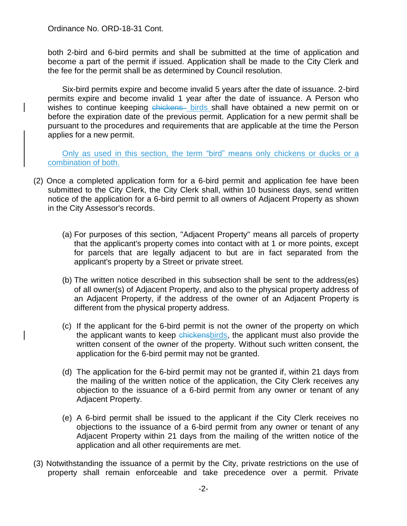both 2-bird and 6-bird permits and shall be submitted at the time of application and become a part of the permit if issued. Application shall be made to the City Clerk and the fee for the permit shall be as determined by Council resolution.

Six-bird permits expire and become invalid 5 years after the date of issuance. 2-bird permits expire and become invalid 1 year after the date of issuance. A Person who wishes to continue keeping chickens birds shall have obtained a new permit on or before the expiration date of the previous permit. Application for a new permit shall be pursuant to the procedures and requirements that are applicable at the time the Person applies for a new permit.

Only as used in this section, the term "bird" means only chickens or ducks or a combination of both.

- (2) Once a completed application form for a 6-bird permit and application fee have been submitted to the City Clerk, the City Clerk shall, within 10 business days, send written notice of the application for a 6-bird permit to all owners of Adjacent Property as shown in the City Assessor's records.
	- (a) For purposes of this section, "Adjacent Property" means all parcels of property that the applicant's property comes into contact with at 1 or more points, except for parcels that are legally adjacent to but are in fact separated from the applicant's property by a Street or private street.
	- (b) The written notice described in this subsection shall be sent to the address(es) of all owner(s) of Adjacent Property, and also to the physical property address of an Adjacent Property, if the address of the owner of an Adjacent Property is different from the physical property address.
	- (c) If the applicant for the 6-bird permit is not the owner of the property on which the applicant wants to keep chickensbirds, the applicant must also provide the written consent of the owner of the property. Without such written consent, the application for the 6-bird permit may not be granted.
	- (d) The application for the 6-bird permit may not be granted if, within 21 days from the mailing of the written notice of the application, the City Clerk receives any objection to the issuance of a 6-bird permit from any owner or tenant of any Adjacent Property.
	- (e) A 6-bird permit shall be issued to the applicant if the City Clerk receives no objections to the issuance of a 6-bird permit from any owner or tenant of any Adjacent Property within 21 days from the mailing of the written notice of the application and all other requirements are met.
- (3) Notwithstanding the issuance of a permit by the City, private restrictions on the use of property shall remain enforceable and take precedence over a permit. Private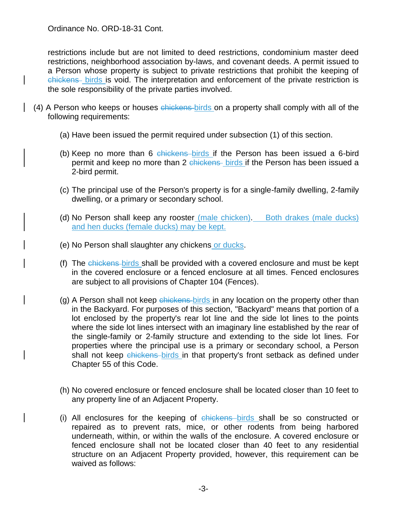restrictions include but are not limited to deed restrictions, condominium master deed restrictions, neighborhood association by-laws, and covenant deeds. A permit issued to a Person whose property is subject to private restrictions that prohibit the keeping of chickens birds is void. The interpretation and enforcement of the private restriction is the sole responsibility of the private parties involved.

- (4) A Person who keeps or houses chickens birds on a property shall comply with all of the following requirements:
	- (a) Have been issued the permit required under subsection (1) of this section.
	- (b) Keep no more than 6 chickens birds if the Person has been issued a 6-bird permit and keep no more than 2 chickens birds if the Person has been issued a 2-bird permit.
	- (c) The principal use of the Person's property is for a single-family dwelling, 2-family dwelling, or a primary or secondary school.
	- (d) No Person shall keep any rooster (male chicken). Both drakes (male ducks) and hen ducks (female ducks) may be kept.
	- (e) No Person shall slaughter any chickens or ducks.
	- (f) The chickens birds shall be provided with a covered enclosure and must be kept in the covered enclosure or a fenced enclosure at all times. Fenced enclosures are subject to all provisions of Chapter 104 (Fences).
	- (g) A Person shall not keep chickens birds in any location on the property other than in the Backyard. For purposes of this section, "Backyard" means that portion of a lot enclosed by the property's rear lot line and the side lot lines to the points where the side lot lines intersect with an imaginary line established by the rear of the single-family or 2-family structure and extending to the side lot lines. For properties where the principal use is a primary or secondary school, a Person shall not keep chickens birds in that property's front setback as defined under Chapter 55 of this Code.
	- (h) No covered enclosure or fenced enclosure shall be located closer than 10 feet to any property line of an Adjacent Property.
	- (i) All enclosures for the keeping of chickens birds shall be so constructed or repaired as to prevent rats, mice, or other rodents from being harbored underneath, within, or within the walls of the enclosure. A covered enclosure or fenced enclosure shall not be located closer than 40 feet to any residential structure on an Adjacent Property provided, however, this requirement can be waived as follows: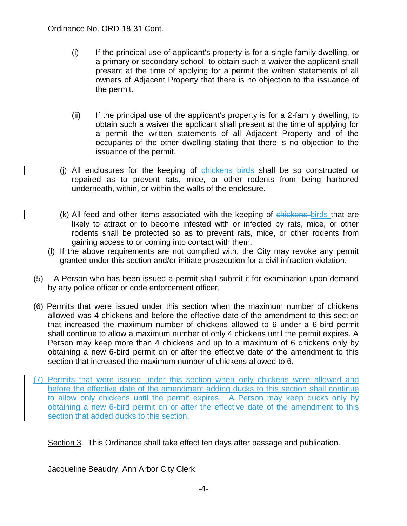- (i) If the principal use of applicant's property is for a single-family dwelling, or a primary or secondary school, to obtain such a waiver the applicant shall present at the time of applying for a permit the written statements of all owners of Adjacent Property that there is no objection to the issuance of the permit.
- (ii) If the principal use of the applicant's property is for a 2-family dwelling, to obtain such a waiver the applicant shall present at the time of applying for a permit the written statements of all Adjacent Property and of the occupants of the other dwelling stating that there is no objection to the issuance of the permit.
- (i) All enclosures for the keeping of chickens birds shall be so constructed or repaired as to prevent rats, mice, or other rodents from being harbored underneath, within, or within the walls of the enclosure.
- (k) All feed and other items associated with the keeping of chickens birds that are likely to attract or to become infested with or infected by rats, mice, or other rodents shall be protected so as to prevent rats, mice, or other rodents from gaining access to or coming into contact with them.
- (l) If the above requirements are not complied with, the City may revoke any permit granted under this section and/or initiate prosecution for a civil infraction violation.
- (5) A Person who has been issued a permit shall submit it for examination upon demand by any police officer or code enforcement officer.
- (6) Permits that were issued under this section when the maximum number of chickens allowed was 4 chickens and before the effective date of the amendment to this section that increased the maximum number of chickens allowed to 6 under a 6-bird permit shall continue to allow a maximum number of only 4 chickens until the permit expires. A Person may keep more than 4 chickens and up to a maximum of 6 chickens only by obtaining a new 6-bird permit on or after the effective date of the amendment to this section that increased the maximum number of chickens allowed to 6.
- (7) Permits that were issued under this section when only chickens were allowed and before the effective date of the amendment adding ducks to this section shall continue to allow only chickens until the permit expires. A Person may keep ducks only by obtaining a new 6-bird permit on or after the effective date of the amendment to this section that added ducks to this section.

Section 3. This Ordinance shall take effect ten days after passage and publication.

Jacqueline Beaudry, Ann Arbor City Clerk